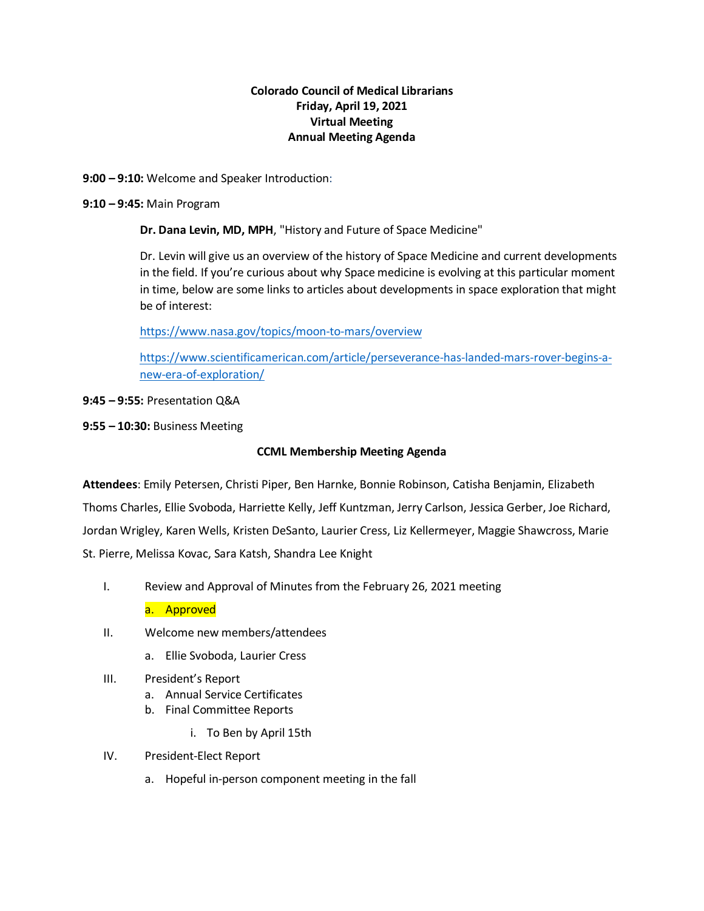## **Colorado Council of Medical Librarians Friday, April 19, 2021 Virtual Meeting Annual Meeting Agenda**

**9:00 – 9:10:** Welcome and Speaker Introduction:

### **9:10 – 9:45:** Main Program

**Dr. Dana Levin, MD, MPH**, "History and Future of Space Medicine"

Dr. Levin will give us an overview of the history of Space Medicine and current developments in the field. If you're curious about why Space medicine is evolving at this particular moment in time, below are some links to articles about developments in space exploration that might be of interest:

<https://www.nasa.gov/topics/moon-to-mars/overview>

[https://www.scientificamerican.com/article/perseverance-has-landed-mars-rover-begins-a](https://www.scientificamerican.com/article/perseverance-has-landed-mars-rover-begins-a-new-era-of-exploration/)[new-era-of-exploration/](https://www.scientificamerican.com/article/perseverance-has-landed-mars-rover-begins-a-new-era-of-exploration/)

## **9:45 – 9:55:** Presentation Q&A

**9:55 – 10:30:** Business Meeting

## **CCML Membership Meeting Agenda**

**Attendees**: Emily Petersen, Christi Piper, Ben Harnke, Bonnie Robinson, Catisha Benjamin, Elizabeth Thoms Charles, Ellie Svoboda, Harriette Kelly, Jeff Kuntzman, Jerry Carlson, Jessica Gerber, Joe Richard, Jordan Wrigley, Karen Wells, Kristen DeSanto, Laurier Cress, Liz Kellermeyer, Maggie Shawcross, Marie St. Pierre, Melissa Kovac, Sara Katsh, Shandra Lee Knight

I. Review and Approval of Minutes from the February 26, 2021 meeting

a. Approved

- II. Welcome new members/attendees
	- a. Ellie Svoboda, Laurier Cress
- III. President's Report
	- a. Annual Service Certificates
	- b. Final Committee Reports
		- i. To Ben by April 15th
- IV. President-Elect Report
	- a. Hopeful in-person component meeting in the fall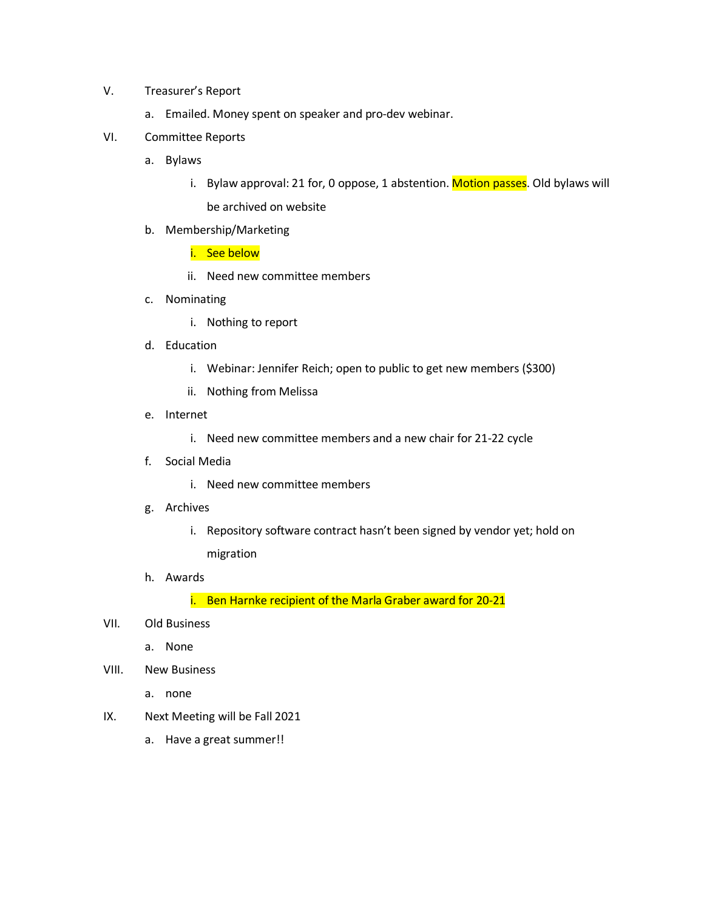### V. Treasurer's Report

a. Emailed. Money spent on speaker and pro-dev webinar.

#### VI. Committee Reports

- a. Bylaws
	- i. Bylaw approval: 21 for, 0 oppose, 1 abstention. Motion passes. Old bylaws will be archived on website
- b. Membership/Marketing
	- i. See below
	- ii. Need new committee members
- c. Nominating
	- i. Nothing to report
- d. Education
	- i. Webinar: Jennifer Reich; open to public to get new members (\$300)
	- ii. Nothing from Melissa
- e. Internet
	- i. Need new committee members and a new chair for 21-22 cycle
- f. Social Media
	- i. Need new committee members
- g. Archives
	- i. Repository software contract hasn't been signed by vendor yet; hold on migration
- h. Awards

i. Ben Harnke recipient of the Marla Graber award for 20-21

- VII. Old Business
	- a. None
- VIII. New Business
	- a. none
- IX. Next Meeting will be Fall 2021
	- a. Have a great summer!!